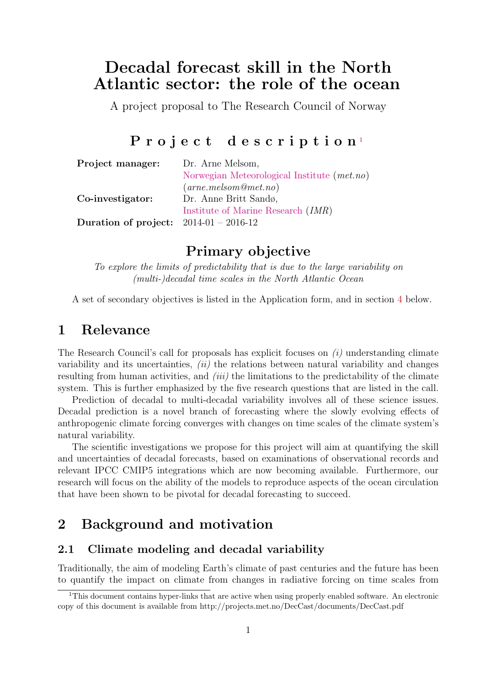# Decadal forecast skill in the North Atlantic sector: the role of the ocean

A project proposal to The Research Council of Norway

# Project description<sup>[1](#page-0-0)</sup>

| Project manager:                         | Dr. Arne Melsom,                              |
|------------------------------------------|-----------------------------------------------|
|                                          | Norwegian Meteorological Institute $(met.no)$ |
|                                          | $(arne.$ melsom $@met.no)$                    |
| Co-investigator:                         | Dr. Anne Britt Sandø,                         |
|                                          | Institute of Marine Research <i>(IMR)</i>     |
| Duration of project: $2014-01 - 2016-12$ |                                               |

## Primary objective

To explore the limits of predictability that is due to the large variability on (multi-)decadal time scales in the North Atlantic Ocean

A set of secondary objectives is listed in the Application form, and in section [4](#page-5-0) below.

## 1 Relevance

The Research Council's call for proposals has explicit focuses on  $(i)$  understanding climate variability and its uncertainties,  $(ii)$  the relations between natural variability and changes resulting from human activities, and  $(iii)$  the limitations to the predictability of the climate system. This is further emphasized by the five research questions that are listed in the call.

Prediction of decadal to multi-decadal variability involves all of these science issues. Decadal prediction is a novel branch of forecasting where the slowly evolving effects of anthropogenic climate forcing converges with changes on time scales of the climate system's natural variability.

The scientific investigations we propose for this project will aim at quantifying the skill and uncertainties of decadal forecasts, based on examinations of observational records and relevant IPCC CMIP5 integrations which are now becoming available. Furthermore, our research will focus on the ability of the models to reproduce aspects of the ocean circulation that have been shown to be pivotal for decadal forecasting to succeed.

## <span id="page-0-1"></span>2 Background and motivation

#### 2.1 Climate modeling and decadal variability

Traditionally, the aim of modeling Earth's climate of past centuries and the future has been to quantify the impact on climate from changes in radiative forcing on time scales from

<span id="page-0-0"></span><sup>1</sup>This document contains hyper-links that are active when using properly enabled software. An electronic copy of this document is available from http://projects.met.no/DecCast/documents/DecCast.pdf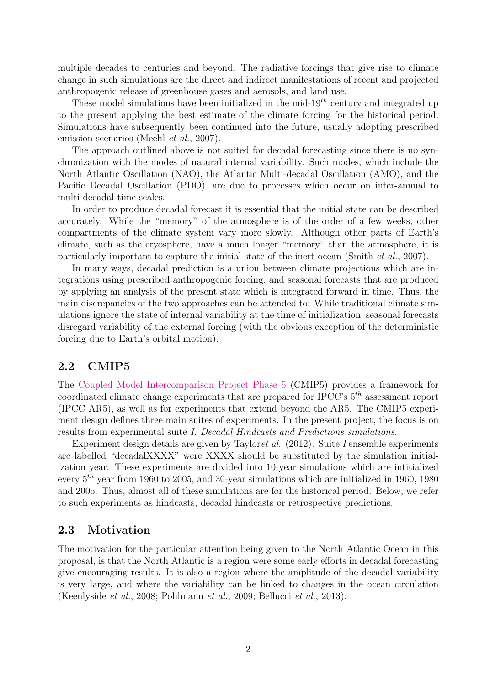multiple decades to centuries and beyond. The radiative forcings that give rise to climate change in such simulations are the direct and indirect manifestations of recent and projected anthropogenic release of greenhouse gases and aerosols, and land use.

These model simulations have been initialized in the mid- $19<sup>th</sup>$  century and integrated up to the present applying the best estimate of the climate forcing for the historical period. Simulations have subsequently been continued into the future, usually adopting prescribed emission scenarios (Meehl *et al.*, 2007).

The approach outlined above is not suited for decadal forecasting since there is no synchronization with the modes of natural internal variability. Such modes, which include the North Atlantic Oscillation (NAO), the Atlantic Multi-decadal Oscillation (AMO), and the Pacific Decadal Oscillation (PDO), are due to processes which occur on inter-annual to multi-decadal time scales.

In order to produce decadal forecast it is essential that the initial state can be described accurately. While the "memory" of the atmosphere is of the order of a few weeks, other compartments of the climate system vary more slowly. Although other parts of Earth's climate, such as the cryosphere, have a much longer "memory" than the atmosphere, it is particularly important to capture the initial state of the inert ocean (Smith et al., 2007).

In many ways, decadal prediction is a union between climate projections which are integrations using prescribed anthropogenic forcing, and seasonal forecasts that are produced by applying an analysis of the present state which is integrated forward in time. Thus, the main discrepancies of the two approaches can be attended to: While traditional climate simulations ignore the state of internal variability at the time of initialization, seasonal forecasts disregard variability of the external forcing (with the obvious exception of the deterministic forcing due to Earth's orbital motion).

#### 2.2 CMIP5

The [Coupled Model Intercomparison Project Phase 5](http://cmip-pcmdi.llnl.gov/cmip5/) (CMIP5) provides a framework for coordinated climate change experiments that are prepared for IPCC's  $5<sup>th</sup>$  assessment report (IPCC AR5), as well as for experiments that extend beyond the AR5. The CMIP5 experiment design defines three main suites of experiments. In the present project, the focus is on results from experimental suite I. Decadal Hindcasts and Predictions simulations.

Experiment design details are given by Taylor *et al.* (2012). Suite *I* ensemble experiments are labelled "decadalXXXX" were XXXX should be substituted by the simulation initialization year. These experiments are divided into 10-year simulations which are intitialized every  $5<sup>th</sup>$  year from 1960 to 2005, and 30-year simulations which are initialized in 1960, 1980 and 2005. Thus, almost all of these simulations are for the historical period. Below, we refer to such experiments as hindcasts, decadal hindcasts or retrospective predictions.

#### 2.3 Motivation

The motivation for the particular attention being given to the North Atlantic Ocean in this proposal, is that the North Atlantic is a region were some early efforts in decadal forecasting give encouraging results. It is also a region where the amplitude of the decadal variability is very large, and where the variability can be linked to changes in the ocean circulation (Keenlyside et al., 2008; Pohlmann et al., 2009; Bellucci et al., 2013).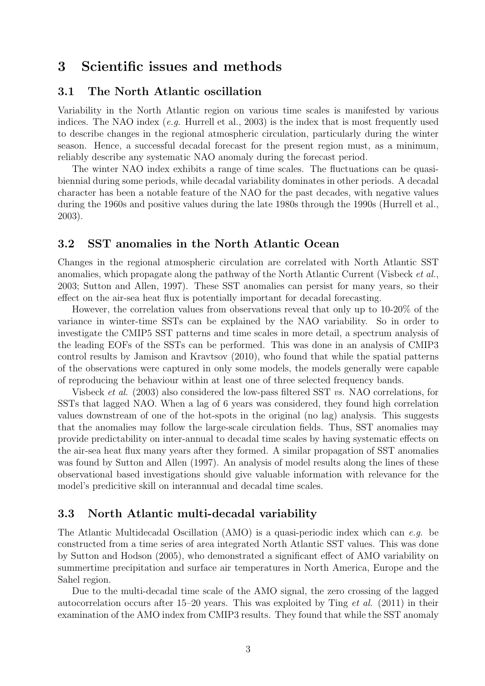## <span id="page-2-0"></span>3 Scientific issues and methods

#### 3.1 The North Atlantic oscillation

Variability in the North Atlantic region on various time scales is manifested by various indices. The NAO index  $(e.g.$  Hurrell et al., 2003) is the index that is most frequently used to describe changes in the regional atmospheric circulation, particularly during the winter season. Hence, a successful decadal forecast for the present region must, as a minimum, reliably describe any systematic NAO anomaly during the forecast period.

The winter NAO index exhibits a range of time scales. The fluctuations can be quasibiennial during some periods, while decadal variability dominates in other periods. A decadal character has been a notable feature of the NAO for the past decades, with negative values during the 1960s and positive values during the late 1980s through the 1990s (Hurrell et al., 2003).

#### <span id="page-2-1"></span>3.2 SST anomalies in the North Atlantic Ocean

Changes in the regional atmospheric circulation are correlated with North Atlantic SST anomalies, which propagate along the pathway of the North Atlantic Current (Visbeck et al., 2003; Sutton and Allen, 1997). These SST anomalies can persist for many years, so their effect on the air-sea heat flux is potentially important for decadal forecasting.

However, the correlation values from observations reveal that only up to 10-20% of the variance in winter-time SSTs can be explained by the NAO variability. So in order to investigate the CMIP5 SST patterns and time scales in more detail, a spectrum analysis of the leading EOFs of the SSTs can be performed. This was done in an analysis of CMIP3 control results by Jamison and Kravtsov (2010), who found that while the spatial patterns of the observations were captured in only some models, the models generally were capable of reproducing the behaviour within at least one of three selected frequency bands.

Visbeck et al. (2003) also considered the low-pass filtered SST vs. NAO correlations, for SSTs that lagged NAO. When a lag of 6 years was considered, they found high correlation values downstream of one of the hot-spots in the original (no lag) analysis. This suggests that the anomalies may follow the large-scale circulation fields. Thus, SST anomalies may provide predictability on inter-annual to decadal time scales by having systematic effects on the air-sea heat flux many years after they formed. A similar propagation of SST anomalies was found by Sutton and Allen (1997). An analysis of model results along the lines of these observational based investigations should give valuable information with relevance for the model's predicitive skill on interannual and decadal time scales.

#### 3.3 North Atlantic multi-decadal variability

The Atlantic Multidecadal Oscillation (AMO) is a quasi-periodic index which can e.g. be constructed from a time series of area integrated North Atlantic SST values. This was done by Sutton and Hodson (2005), who demonstrated a significant effect of AMO variability on summertime precipitation and surface air temperatures in North America, Europe and the Sahel region.

Due to the multi-decadal time scale of the AMO signal, the zero crossing of the lagged autocorrelation occurs after 15–20 years. This was exploited by Ting et al. (2011) in their examination of the AMO index from CMIP3 results. They found that while the SST anomaly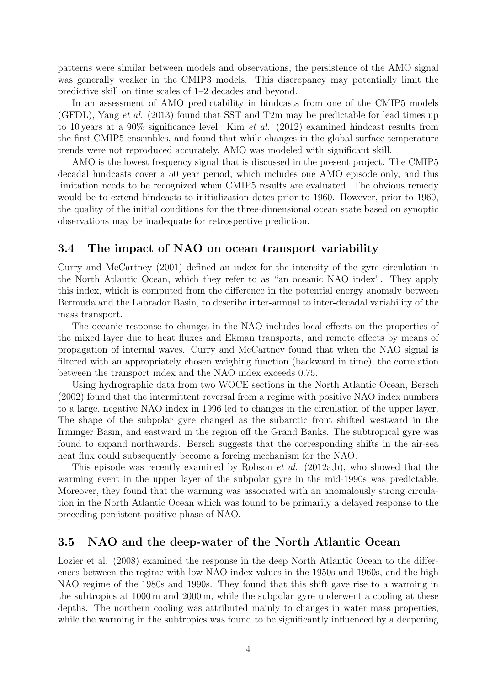patterns were similar between models and observations, the persistence of the AMO signal was generally weaker in the CMIP3 models. This discrepancy may potentially limit the predictive skill on time scales of 1–2 decades and beyond.

In an assessment of AMO predictability in hindcasts from one of the CMIP5 models (GFDL), Yang et al. (2013) found that SST and T2m may be predictable for lead times up to 10 years at a 90% significance level. Kim *et al.* (2012) examined hindcast results from the first CMIP5 ensembles, and found that while changes in the global surface temperature trends were not reproduced accurately, AMO was modeled with significant skill.

AMO is the lowest frequency signal that is discussed in the present project. The CMIP5 decadal hindcasts cover a 50 year period, which includes one AMO episode only, and this limitation needs to be recognized when CMIP5 results are evaluated. The obvious remedy would be to extend hindcasts to initialization dates prior to 1960. However, prior to 1960, the quality of the initial conditions for the three-dimensional ocean state based on synoptic observations may be inadequate for retrospective prediction.

#### 3.4 The impact of NAO on ocean transport variability

Curry and McCartney (2001) defined an index for the intensity of the gyre circulation in the North Atlantic Ocean, which they refer to as "an oceanic NAO index". They apply this index, which is computed from the difference in the potential energy anomaly between Bermuda and the Labrador Basin, to describe inter-annual to inter-decadal variability of the mass transport.

The oceanic response to changes in the NAO includes local effects on the properties of the mixed layer due to heat fluxes and Ekman transports, and remote effects by means of propagation of internal waves. Curry and McCartney found that when the NAO signal is filtered with an appropriately chosen weighing function (backward in time), the correlation between the transport index and the NAO index exceeds 0.75.

Using hydrographic data from two WOCE sections in the North Atlantic Ocean, Bersch (2002) found that the intermittent reversal from a regime with positive NAO index numbers to a large, negative NAO index in 1996 led to changes in the circulation of the upper layer. The shape of the subpolar gyre changed as the subarctic front shifted westward in the Irminger Basin, and eastward in the region off the Grand Banks. The subtropical gyre was found to expand northwards. Bersch suggests that the corresponding shifts in the air-sea heat flux could subsequently become a forcing mechanism for the NAO.

This episode was recently examined by Robson et al. (2012a,b), who showed that the warming event in the upper layer of the subpolar gyre in the mid-1990s was predictable. Moreover, they found that the warming was associated with an anomalously strong circulation in the North Atlantic Ocean which was found to be primarily a delayed response to the preceding persistent positive phase of NAO.

#### <span id="page-3-0"></span>3.5 NAO and the deep-water of the North Atlantic Ocean

Lozier et al. (2008) examined the response in the deep North Atlantic Ocean to the differences between the regime with low NAO index values in the 1950s and 1960s, and the high NAO regime of the 1980s and 1990s. They found that this shift gave rise to a warming in the subtropics at 1000 m and 2000 m, while the subpolar gyre underwent a cooling at these depths. The northern cooling was attributed mainly to changes in water mass properties, while the warming in the subtropics was found to be significantly influenced by a deepening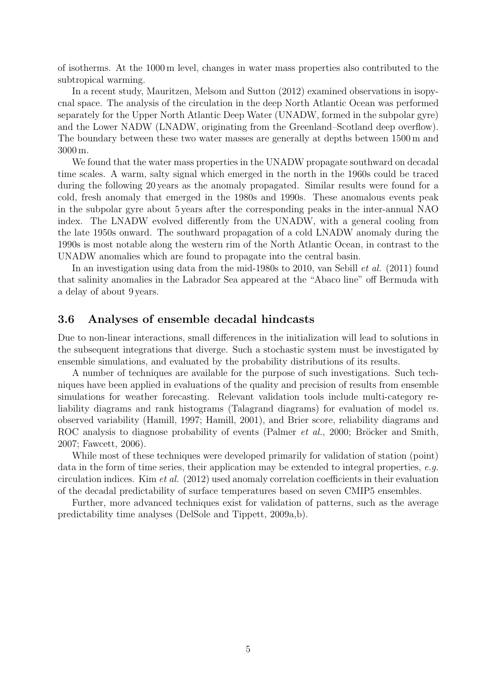of isotherms. At the 1000 m level, changes in water mass properties also contributed to the subtropical warming.

In a recent study, Mauritzen, Melsom and Sutton (2012) examined observations in isopycnal space. The analysis of the circulation in the deep North Atlantic Ocean was performed separately for the Upper North Atlantic Deep Water (UNADW, formed in the subpolar gyre) and the Lower NADW (LNADW, originating from the Greenland–Scotland deep overflow). The boundary between these two water masses are generally at depths between 1500 m and 3000 m.

We found that the water mass properties in the UNADW propagate southward on decadal time scales. A warm, salty signal which emerged in the north in the 1960s could be traced during the following 20 years as the anomaly propagated. Similar results were found for a cold, fresh anomaly that emerged in the 1980s and 1990s. These anomalous events peak in the subpolar gyre about 5 years after the corresponding peaks in the inter-annual NAO index. The LNADW evolved differently from the UNADW, with a general cooling from the late 1950s onward. The southward propagation of a cold LNADW anomaly during the 1990s is most notable along the western rim of the North Atlantic Ocean, in contrast to the UNADW anomalies which are found to propagate into the central basin.

In an investigation using data from the mid-1980s to 2010, van Sebill et al. (2011) found that salinity anomalies in the Labrador Sea appeared at the "Abaco line" off Bermuda with a delay of about 9 years.

#### <span id="page-4-0"></span>3.6 Analyses of ensemble decadal hindcasts

Due to non-linear interactions, small differences in the initialization will lead to solutions in the subsequent integrations that diverge. Such a stochastic system must be investigated by ensemble simulations, and evaluated by the probability distributions of its results.

A number of techniques are available for the purpose of such investigations. Such techniques have been applied in evaluations of the quality and precision of results from ensemble simulations for weather forecasting. Relevant validation tools include multi-category reliability diagrams and rank histograms (Talagrand diagrams) for evaluation of model vs. observed variability (Hamill, 1997; Hamill, 2001), and Brier score, reliability diagrams and ROC analysis to diagnose probability of events (Palmer *et al.*, 2000; Bröcker and Smith, 2007; Fawcett, 2006).

While most of these techniques were developed primarily for validation of station (point) data in the form of time series, their application may be extended to integral properties, e.g. circulation indices. Kim et al. (2012) used anomaly correlation coefficients in their evaluation of the decadal predictability of surface temperatures based on seven CMIP5 ensembles.

Further, more advanced techniques exist for validation of patterns, such as the average predictability time analyses (DelSole and Tippett, 2009a,b).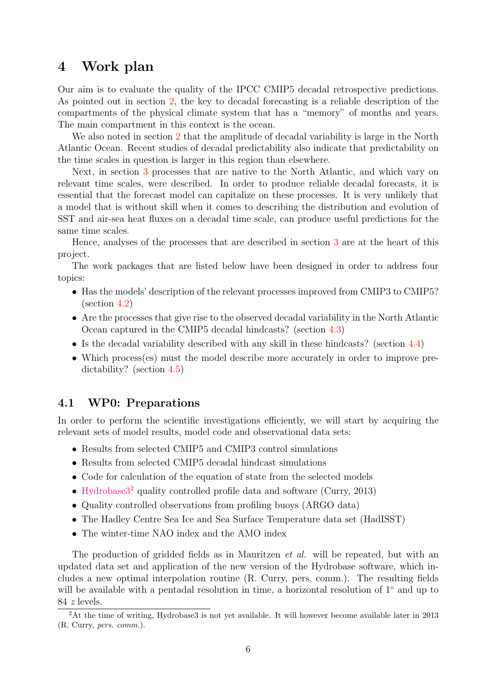### <span id="page-5-0"></span>4 Work plan

Our aim is to evaluate the quality of the IPCC CMIP5 decadal retrospective predictions. As pointed out in section [2,](#page-0-1) the key to decadal forecasting is a reliable description of the compartments of the physical climate system that has a "memory" of months and years. The main compartment in this context is the ocean.

We also noted in section [2](#page-0-1) that the amplitude of decadal variability is large in the North Atlantic Ocean. Recent studies of decadal predictability also indicate that predictability on the time scales in question is larger in this region than elsewhere.

Next, in section [3](#page-2-0) processes that are native to the North Atlantic, and which vary on relevant time scales, were described. In order to produce reliable decadal forecasts, it is essential that the forecast model can capitalize on these processes. It is very unlikely that a model that is without skill when it comes to describing the distribution and evolution of SST and air-sea heat fluxes on a decadal time scale, can produce useful predictions for the same time scales.

Hence, analyses of the processes that are described in section [3](#page-2-0) are at the heart of this project.

The work packages that are listed below have been designed in order to address four topics:

- Has the models' description of the relevant processes improved from CMIP3 to CMIP5? (section [4.2\)](#page-6-0)
- Are the processes that give rise to the observed decadal variability in the North Atlantic Ocean captured in the CMIP5 decadal hindcasts? (section [4.3\)](#page-6-1)
- Is the decadal variability described with any skill in these hindcasts? (section [4.4\)](#page-6-2)
- Which process(es) must the model describe more accurately in order to improve predictability? (section [4.5\)](#page-6-3)

#### 4.1 WP0: Preparations

In order to perform the scientific investigations efficiently, we will start by acquiring the relevant sets of model results, model code and observational data sets:

- Results from selected CMIP5 and CMIP3 control simulations
- Results from selected CMIP5 decadal hindcast simulations
- Code for calculation of the equation of state from the selected models
- Hydrobase<sup>3[2](#page-5-1)</sup> quality controlled profile data and software (Curry, 2013)
- Quality controlled observations from profiling buoys (ARGO data)
- The Hadley Centre Sea Ice and Sea Surface Temperature data set (HadISST)
- The winter-time NAO index and the AMO index

The production of gridded fields as in Mauritzen *et al.* will be repeated, but with an updated data set and application of the new version of the Hydrobase software, which includes a new optimal interpolation routine (R. Curry, pers. comm.). The resulting fields will be available with a pentadal resolution in time, a horizontal resolution of 1◦ and up to 84 z levels.

<span id="page-5-1"></span><sup>2</sup>At the time of writing, Hydrobase3 is not yet available. It will however become available later in 2013 (R. Curry, pers. comm.).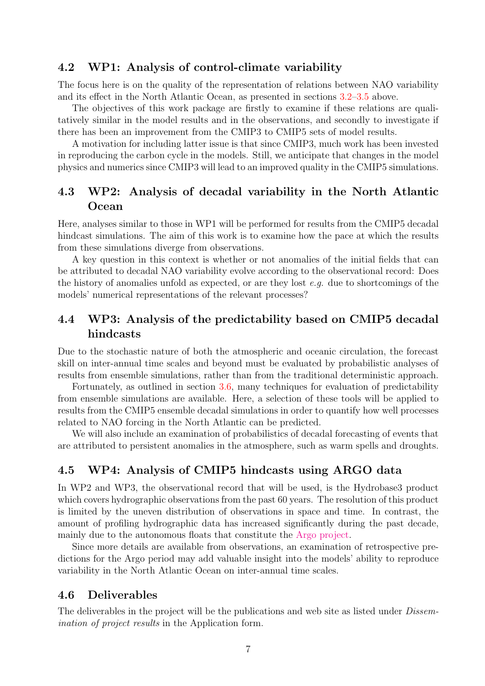#### <span id="page-6-0"></span>4.2 WP1: Analysis of control-climate variability

The focus here is on the quality of the representation of relations between NAO variability and its effect in the North Atlantic Ocean, as presented in sections [3.2–](#page-2-1)[3.5](#page-3-0) above.

The objectives of this work package are firstly to examine if these relations are qualitatively similar in the model results and in the observations, and secondly to investigate if there has been an improvement from the CMIP3 to CMIP5 sets of model results.

A motivation for including latter issue is that since CMIP3, much work has been invested in reproducing the carbon cycle in the models. Still, we anticipate that changes in the model physics and numerics since CMIP3 will lead to an improved quality in the CMIP5 simulations.

### <span id="page-6-1"></span>4.3 WP2: Analysis of decadal variability in the North Atlantic **Ocean**

Here, analyses similar to those in WP1 will be performed for results from the CMIP5 decadal hindcast simulations. The aim of this work is to examine how the pace at which the results from these simulations diverge from observations.

A key question in this context is whether or not anomalies of the initial fields that can be attributed to decadal NAO variability evolve according to the observational record: Does the history of anomalies unfold as expected, or are they lost  $e, q$ , due to shortcomings of the models' numerical representations of the relevant processes?

## <span id="page-6-2"></span>4.4 WP3: Analysis of the predictability based on CMIP5 decadal hindcasts

Due to the stochastic nature of both the atmospheric and oceanic circulation, the forecast skill on inter-annual time scales and beyond must be evaluated by probabilistic analyses of results from ensemble simulations, rather than from the traditional deterministic approach.

Fortunately, as outlined in section [3.6,](#page-4-0) many techniques for evaluation of predictability from ensemble simulations are available. Here, a selection of these tools will be applied to results from the CMIP5 ensemble decadal simulations in order to quantify how well processes related to NAO forcing in the North Atlantic can be predicted.

We will also include an examination of probabilistics of decadal forecasting of events that are attributed to persistent anomalies in the atmosphere, such as warm spells and droughts.

### <span id="page-6-3"></span>4.5 WP4: Analysis of CMIP5 hindcasts using ARGO data

In WP2 and WP3, the observational record that will be used, is the Hydrobase3 product which covers hydrographic observations from the past 60 years. The resolution of this product is limited by the uneven distribution of observations in space and time. In contrast, the amount of profiling hydrographic data has increased significantly during the past decade, mainly due to the autonomous floats that constitute the [Argo project.](http://www.argo.net/)

Since more details are available from observations, an examination of retrospective predictions for the Argo period may add valuable insight into the models' ability to reproduce variability in the North Atlantic Ocean on inter-annual time scales.

#### 4.6 Deliverables

The deliverables in the project will be the publications and web site as listed under *Dissem*ination of project results in the Application form.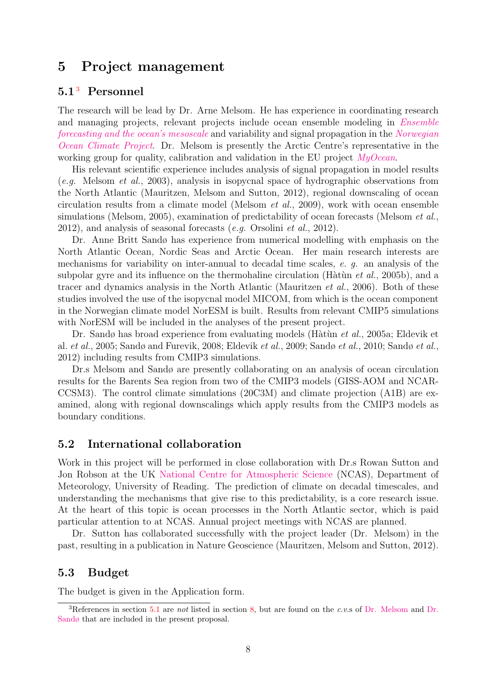## 5 Project management

#### <span id="page-7-1"></span> $5.1<sup>3</sup>$  Personnel

The research will be lead by Dr. Arne Melsom. He has experience in coordinating research and managing projects, relevant projects include ocean ensemble modeling in [Ensemble](http://projects.met.no/ensemble/) [forecasting and the ocean's mesoscale](http://projects.met.no/ensemble/) and variability and signal propagation in the [Norwegian](http://projects.met.no/noclim-pt5/) [Ocean Climate Project](http://projects.met.no/noclim-pt5/). Dr. Melsom is presently the Arctic Centre's representative in the working group for quality, calibration and validation in the EU project  $My Ocean$ .

His relevant scientific experience includes analysis of signal propagation in model results  $(e.g.$  Melsom *et al.*, 2003), analysis in isopycnal space of hydrographic observations from the North Atlantic (Mauritzen, Melsom and Sutton, 2012), regional downscaling of ocean circulation results from a climate model (Melsom et al., 2009), work with ocean ensemble simulations (Melsom, 2005), examination of predictability of ocean forecasts (Melsom *et al.*, 2012), and analysis of seasonal forecasts  $(e.g.$  Orsolini  $et al., 2012$ .

Dr. Anne Britt Sandø has experience from numerical modelling with emphasis on the North Atlantic Ocean, Nordic Seas and Arctic Ocean. Her main research interests are mechanisms for variability on inter-annual to decadal time scales, e. g. an analysis of the subpolar gyre and its influence on the thermohaline circulation (Hàtùn et al., 2005b), and a tracer and dynamics analysis in the North Atlantic (Mauritzen et al., 2006). Both of these studies involved the use of the isopycnal model MICOM, from which is the ocean component in the Norwegian climate model NorESM is built. Results from relevant CMIP5 simulations with NorESM will be included in the analyses of the present project.

Dr. Sandø has broad experience from evaluating models (Hàtùn et al., 2005a; Eldevik et al. et al., 2005; Sandø and Furevik, 2008; Eldevik et al., 2009; Sandø et al., 2010; Sandø et al., 2012) including results from CMIP3 simulations.

Dr.s Melsom and Sandø are presently collaborating on an analysis of ocean circulation results for the Barents Sea region from two of the CMIP3 models (GISS-AOM and NCAR-CCSM3). The control climate simulations (20C3M) and climate projection (A1B) are examined, along with regional downscalings which apply results from the CMIP3 models as boundary conditions.

#### 5.2 International collaboration

Work in this project will be performed in close collaboration with Dr.s Rowan Sutton and Jon Robson at the UK [National Centre for Atmospheric Science](http://www.ncas.ac.uk) (NCAS), Department of Meteorology, University of Reading. The prediction of climate on decadal timescales, and understanding the mechanisms that give rise to this predictability, is a core research issue. At the heart of this topic is ocean processes in the North Atlantic sector, which is paid particular attention to at NCAS. Annual project meetings with NCAS are planned.

Dr. Sutton has collaborated successfully with the project leader (Dr. Melsom) in the past, resulting in a publication in Nature Geoscience (Mauritzen, Melsom and Sutton, 2012).

#### 5.3 Budget

The budget is given in the Application form.

<span id="page-7-0"></span><sup>&</sup>lt;sup>3</sup>References in section [5.1](#page-7-1) are not listed in section [8,](#page-8-0) but are found on the c.v.s of [Dr. Melsom](http://projects.met.no/DecCast/documents/cv_DecCast_AM.pdf) and [Dr.](http://projects.met.no/DecCast/documents/cv_DecCast_ABS.pdf) [Sandø](http://projects.met.no/DecCast/documents/cv_DecCast_ABS.pdf) that are included in the present proposal.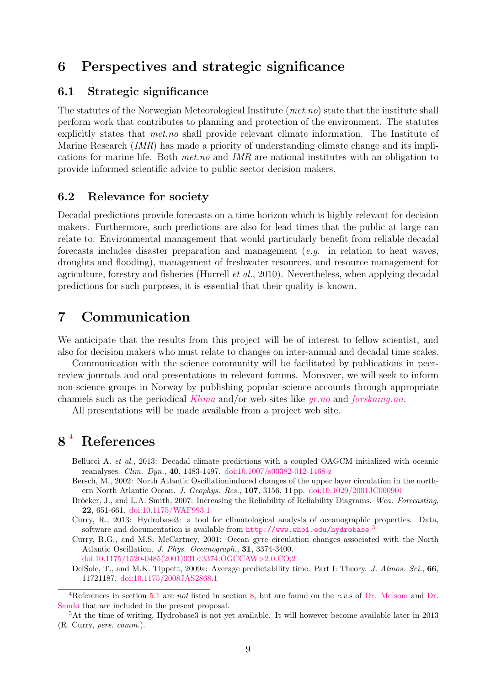## 6 Perspectives and strategic significance

#### 6.1 Strategic significance

The statutes of the Norwegian Meteorological Institute (met.no) state that the institute shall perform work that contributes to planning and protection of the environment. The statutes explicitly states that met.no shall provide relevant climate information. The Institute of Marine Research (IMR) has made a priority of understanding climate change and its implications for marine life. Both met.no and IMR are national institutes with an obligation to provide informed scientific advice to public sector decision makers.

#### 6.2 Relevance for society

Decadal predictions provide forecasts on a time horizon which is highly relevant for decision makers. Furthermore, such predictions are also for lead times that the public at large can relate to. Environmental management that would particularly benefit from reliable decadal forecasts includes disaster preparation and management (e.g. in relation to heat waves, droughts and flooding), management of freshwater resources, and resource management for agriculture, forestry and fisheries (Hurrell et al., 2010). Nevertheless, when applying decadal predictions for such purposes, it is essential that their quality is known.

## 7 Communication

We anticipate that the results from this project will be of interest to fellow scientist, and also for decision makers who must relate to changes on inter-annual and decadal time scales.

Communication with the science community will be facilitated by publications in peerreview journals and oral presentations in relevant forums. Moreover, we will seek to inform non-science groups in Norway by publishing popular science accounts through appropriate channels such as the periodical [Klima](http://www.cicero.uio.no/klima/) and/or web sites like [yr.no](http://yr.no) and [forskning.no](http://forskning.no).

All presentations will be made available from a project web site.

# <span id="page-8-0"></span>8<sup>4</sup> References

Bellucci A. *et al.*, 2013: Decadal climate predictions with a coupled OAGCM initialized with oceanic reanalyses. Clim. Dyn., 40, 1483-1497. [doi:10.1007/s00382-012-1468-z](http://dx.doi.org/10.1007/s00382-012-1468-z)

Bersch, M., 2002: North Atlantic Oscillationinduced changes of the upper layer circulation in the northern North Atlantic Ocean. J. Geophys. Res., 107, 3156, 11 pp. [doi:10.1029/2001JC000901](http://dx.doi.org/10.1029/2001JC000901)

Bröcker, J., and L.A. Smith, 2007: Increasing the Reliability of Reliability Diagrams. Wea. Forecasting, 22, 651-661. [doi:10.1175/WAF993.1](http://dx.doi.org/10.1175/WAF993.1)

Curry, R., 2013: Hydrobase3: a tool for climatological analysis of oceanographic properties. Data, software and documentation is available from  $http://www.whoi.edu/hydrobase<sup>5</sup>$  $http://www.whoi.edu/hydrobase<sup>5</sup>$  $http://www.whoi.edu/hydrobase<sup>5</sup>$  $http://www.whoi.edu/hydrobase<sup>5</sup>$ 

Curry, R.G., and M.S. McCartney, 2001: Ocean gyre circulation changes associated with the North Atlantic Oscillation. J. Phys. Oceanograph., 31, 3374-3400. [doi:10.1175/1520-0485\(2001\)031](http://dx.doi.org/10.1175/1520-0485(2001)031<3374:OGCCAW>2.0.CO;2)<3374:OGCCAW>2.0.CO;2

DelSole, T., and M.K. Tippett, 2009a: Average predictability time. Part I: Theory. J. Atmos. Sci., 66, 11721187. [doi:10.1175/2008JAS2868.1](http://dx.doi.org/10.1175/2008JAS2868.1)

<span id="page-8-1"></span><sup>&</sup>lt;sup>4</sup>References in section [5.1](#page-7-1) are *not* listed in section [8,](#page-8-0) but are found on the c.v.s of [Dr. Melsom](http://projects.met.no/DecCast/documents/cv_DecCast_AM.pdf) and [Dr.](http://projects.met.no/DecCast/documents/cv_DecCast_ABS.pdf) [Sandø](http://projects.met.no/DecCast/documents/cv_DecCast_ABS.pdf) that are included in the present proposal.

<span id="page-8-2"></span> $5$ At the time of writing, Hydrobase3 is not yet available. It will however become available later in 2013 (R. Curry, pers. comm.).